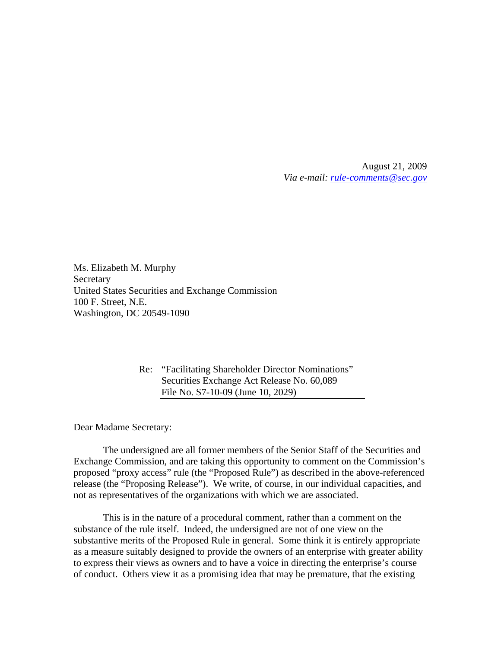August 21, 2009 *Via e-mail: rule-comments@sec.gov*

Ms. Elizabeth M. Murphy **Secretary** United States Securities and Exchange Commission 100 F. Street, N.E. Washington, DC 20549-1090

> Re: "Facilitating Shareholder Director Nominations" Securities Exchange Act Release No. 60,089 File No. S7-10-09 (June 10, 2029)

Dear Madame Secretary:

 The undersigned are all former members of the Senior Staff of the Securities and Exchange Commission, and are taking this opportunity to comment on the Commission's proposed "proxy access" rule (the "Proposed Rule") as described in the above-referenced release (the "Proposing Release"). We write, of course, in our individual capacities, and not as representatives of the organizations with which we are associated.

 This is in the nature of a procedural comment, rather than a comment on the substance of the rule itself. Indeed, the undersigned are not of one view on the substantive merits of the Proposed Rule in general. Some think it is entirely appropriate as a measure suitably designed to provide the owners of an enterprise with greater ability to express their views as owners and to have a voice in directing the enterprise's course of conduct. Others view it as a promising idea that may be premature, that the existing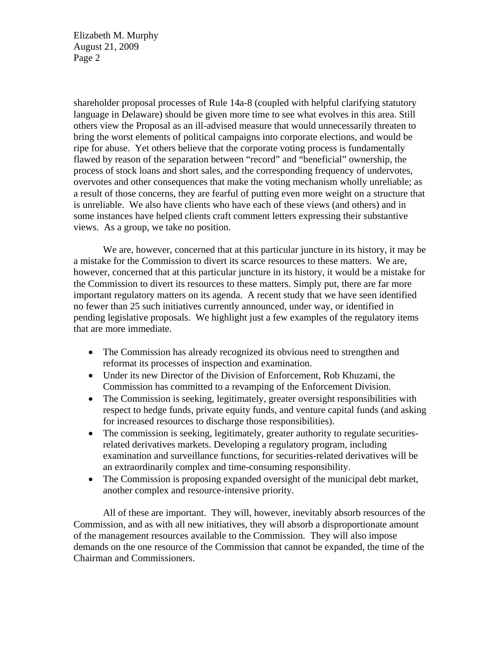shareholder proposal processes of Rule 14a-8 (coupled with helpful clarifying statutory language in Delaware) should be given more time to see what evolves in this area. Still others view the Proposal as an ill-advised measure that would unnecessarily threaten to bring the worst elements of political campaigns into corporate elections, and would be ripe for abuse. Yet others believe that the corporate voting process is fundamentally flawed by reason of the separation between "record" and "beneficial" ownership, the process of stock loans and short sales, and the corresponding frequency of undervotes, overvotes and other consequences that make the voting mechanism wholly unreliable; as a result of those concerns, they are fearful of putting even more weight on a structure that is unreliable. We also have clients who have each of these views (and others) and in some instances have helped clients craft comment letters expressing their substantive views. As a group, we take no position.

 We are, however, concerned that at this particular juncture in its history, it may be a mistake for the Commission to divert its scarce resources to these matters. We are, however, concerned that at this particular juncture in its history, it would be a mistake for the Commission to divert its resources to these matters. Simply put, there are far more important regulatory matters on its agenda. A recent study that we have seen identified no fewer than 25 such initiatives currently announced, under way, or identified in pending legislative proposals. We highlight just a few examples of the regulatory items that are more immediate.

- The Commission has already recognized its obvious need to strengthen and reformat its processes of inspection and examination.
- Under its new Director of the Division of Enforcement, Rob Khuzami, the Commission has committed to a revamping of the Enforcement Division.
- The Commission is seeking, legitimately, greater oversight responsibilities with respect to hedge funds, private equity funds, and venture capital funds (and asking for increased resources to discharge those responsibilities).
- The commission is seeking, legitimately, greater authority to regulate securitiesrelated derivatives markets. Developing a regulatory program, including examination and surveillance functions, for securities-related derivatives will be an extraordinarily complex and time-consuming responsibility.
- The Commission is proposing expanded oversight of the municipal debt market, another complex and resource-intensive priority.

 All of these are important. They will, however, inevitably absorb resources of the Commission, and as with all new initiatives, they will absorb a disproportionate amount of the management resources available to the Commission. They will also impose demands on the one resource of the Commission that cannot be expanded, the time of the Chairman and Commissioners.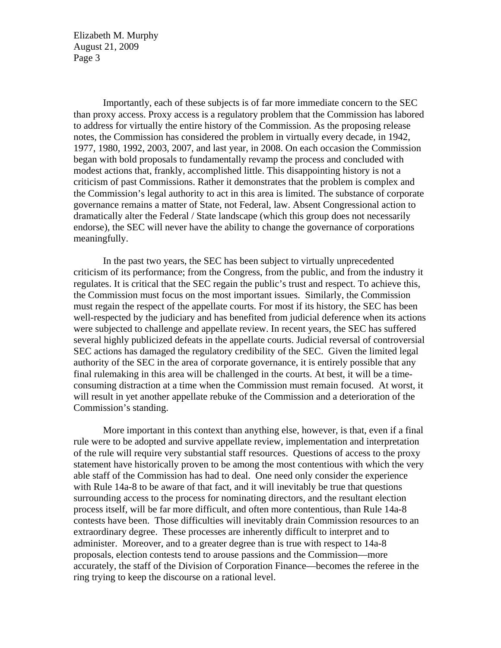Importantly, each of these subjects is of far more immediate concern to the SEC than proxy access. Proxy access is a regulatory problem that the Commission has labored to address for virtually the entire history of the Commission. As the proposing release notes, the Commission has considered the problem in virtually every decade, in 1942, 1977, 1980, 1992, 2003, 2007, and last year, in 2008. On each occasion the Commission began with bold proposals to fundamentally revamp the process and concluded with modest actions that, frankly, accomplished little. This disappointing history is not a criticism of past Commissions. Rather it demonstrates that the problem is complex and the Commission's legal authority to act in this area is limited. The substance of corporate governance remains a matter of State, not Federal, law. Absent Congressional action to dramatically alter the Federal / State landscape (which this group does not necessarily endorse), the SEC will never have the ability to change the governance of corporations meaningfully.

 In the past two years, the SEC has been subject to virtually unprecedented criticism of its performance; from the Congress, from the public, and from the industry it regulates. It is critical that the SEC regain the public's trust and respect. To achieve this, the Commission must focus on the most important issues. Similarly, the Commission must regain the respect of the appellate courts. For most if its history, the SEC has been well-respected by the judiciary and has benefited from judicial deference when its actions were subjected to challenge and appellate review. In recent years, the SEC has suffered several highly publicized defeats in the appellate courts. Judicial reversal of controversial SEC actions has damaged the regulatory credibility of the SEC. Given the limited legal authority of the SEC in the area of corporate governance, it is entirely possible that any final rulemaking in this area will be challenged in the courts. At best, it will be a timeconsuming distraction at a time when the Commission must remain focused. At worst, it will result in yet another appellate rebuke of the Commission and a deterioration of the Commission's standing.

 More important in this context than anything else, however, is that, even if a final rule were to be adopted and survive appellate review, implementation and interpretation of the rule will require very substantial staff resources. Questions of access to the proxy statement have historically proven to be among the most contentious with which the very able staff of the Commission has had to deal. One need only consider the experience with Rule 14a-8 to be aware of that fact, and it will inevitably be true that questions surrounding access to the process for nominating directors, and the resultant election process itself, will be far more difficult, and often more contentious, than Rule 14a-8 contests have been. Those difficulties will inevitably drain Commission resources to an extraordinary degree. These processes are inherently difficult to interpret and to administer. Moreover, and to a greater degree than is true with respect to 14a-8 proposals, election contests tend to arouse passions and the Commission—more accurately, the staff of the Division of Corporation Finance—becomes the referee in the ring trying to keep the discourse on a rational level.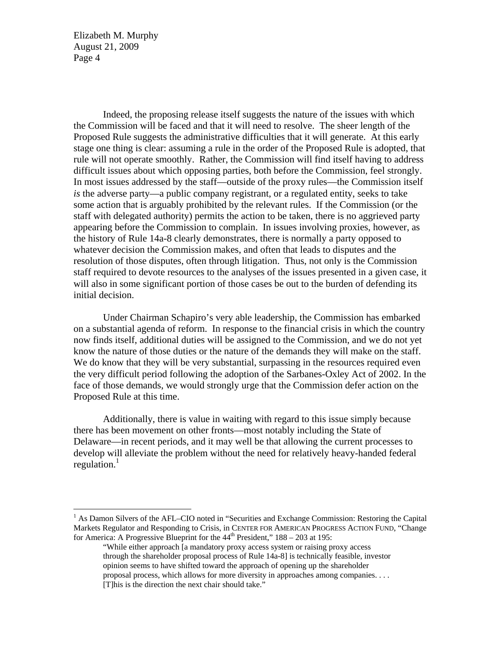$\overline{a}$ 

 Indeed, the proposing release itself suggests the nature of the issues with which the Commission will be faced and that it will need to resolve. The sheer length of the Proposed Rule suggests the administrative difficulties that it will generate. At this early stage one thing is clear: assuming a rule in the order of the Proposed Rule is adopted, that rule will not operate smoothly. Rather, the Commission will find itself having to address difficult issues about which opposing parties, both before the Commission, feel strongly. In most issues addressed by the staff—outside of the proxy rules—the Commission itself *is* the adverse party—a public company registrant, or a regulated entity, seeks to take some action that is arguably prohibited by the relevant rules. If the Commission (or the staff with delegated authority) permits the action to be taken, there is no aggrieved party appearing before the Commission to complain. In issues involving proxies, however, as the history of Rule 14a-8 clearly demonstrates, there is normally a party opposed to whatever decision the Commission makes, and often that leads to disputes and the resolution of those disputes, often through litigation. Thus, not only is the Commission staff required to devote resources to the analyses of the issues presented in a given case, it will also in some significant portion of those cases be out to the burden of defending its initial decision.

 Under Chairman Schapiro's very able leadership, the Commission has embarked on a substantial agenda of reform. In response to the financial crisis in which the country now finds itself, additional duties will be assigned to the Commission, and we do not yet know the nature of those duties or the nature of the demands they will make on the staff. We do know that they will be very substantial, surpassing in the resources required even the very difficult period following the adoption of the Sarbanes-Oxley Act of 2002. In the face of those demands, we would strongly urge that the Commission defer action on the Proposed Rule at this time.

 Additionally, there is value in waiting with regard to this issue simply because there has been movement on other fronts—most notably including the State of Delaware—in recent periods, and it may well be that allowing the current processes to develop will alleviate the problem without the need for relatively heavy-handed federal regulation. $1$ 

<sup>&</sup>lt;sup>1</sup> As Damon Silvers of the AFL–CIO noted in "Securities and Exchange Commission: Restoring the Capital Markets Regulator and Responding to Crisis, in CENTER FOR AMERICAN PROGRESS ACTION FUND, "Change for America: A Progressive Blueprint for the  $44<sup>th</sup>$  President,"  $188 - 203$  at 195:

<sup>&</sup>quot;While either approach [a mandatory proxy access system or raising proxy access through the shareholder proposal process of Rule 14a-8] is technically feasible, investor opinion seems to have shifted toward the approach of opening up the shareholder proposal process, which allows for more diversity in approaches among companies. . . . [T]his is the direction the next chair should take."